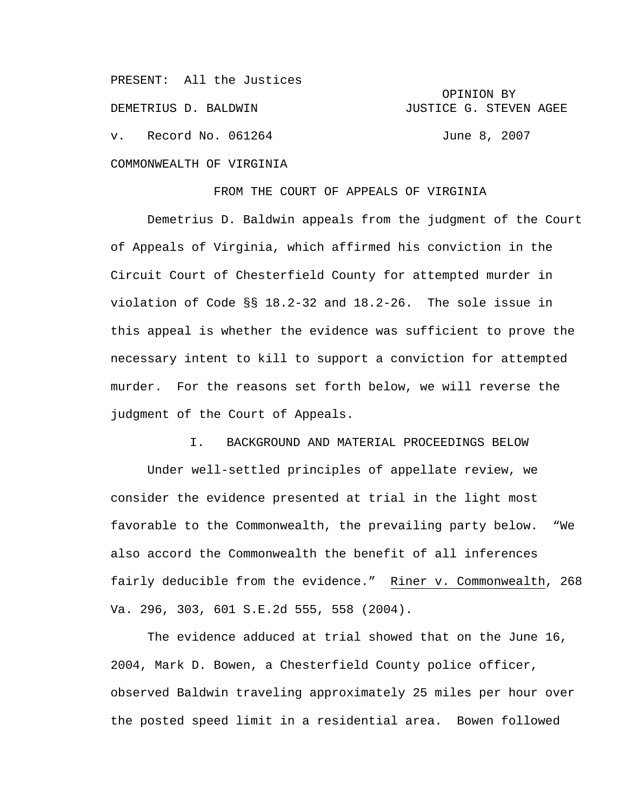PRESENT: All the Justices OPINION BY DEMETRIUS D. BALDWIN **GEERGE G. STEVEN AGEE** v. Record No. 061264 June 8, 2007 COMMONWEALTH OF VIRGINIA

FROM THE COURT OF APPEALS OF VIRGINIA

Demetrius D. Baldwin appeals from the judgment of the Court of Appeals of Virginia, which affirmed his conviction in the Circuit Court of Chesterfield County for attempted murder in violation of Code §§ 18.2-32 and 18.2-26. The sole issue in this appeal is whether the evidence was sufficient to prove the necessary intent to kill to support a conviction for attempted murder. For the reasons set forth below, we will reverse the judgment of the Court of Appeals.

I. BACKGROUND AND MATERIAL PROCEEDINGS BELOW

 Under well-settled principles of appellate review, we consider the evidence presented at trial in the light most favorable to the Commonwealth, the prevailing party below. "We also accord the Commonwealth the benefit of all inferences fairly deducible from the evidence." Riner v. Commonwealth, 268 Va. 296, 303, 601 S.E.2d 555, 558 (2004).

 The evidence adduced at trial showed that on the June 16, 2004, Mark D. Bowen, a Chesterfield County police officer, observed Baldwin traveling approximately 25 miles per hour over the posted speed limit in a residential area. Bowen followed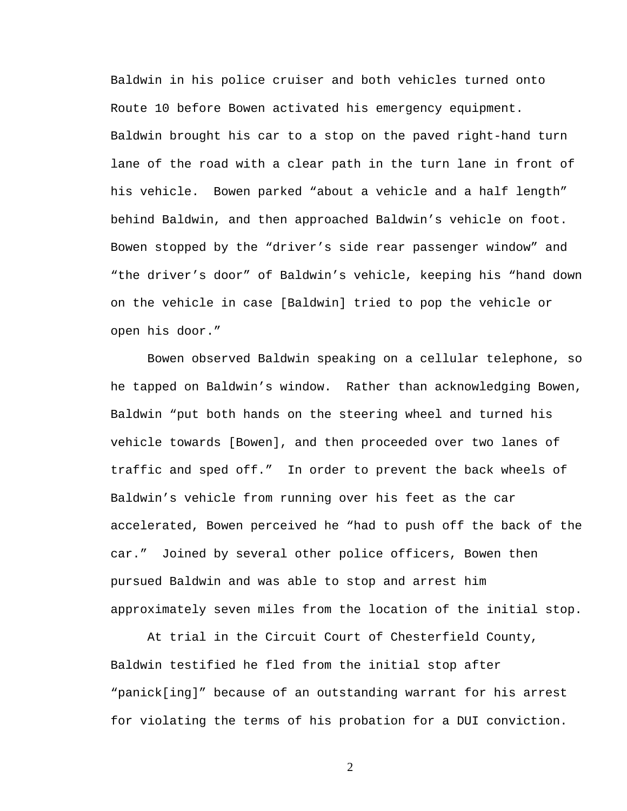Baldwin in his police cruiser and both vehicles turned onto Route 10 before Bowen activated his emergency equipment. Baldwin brought his car to a stop on the paved right-hand turn lane of the road with a clear path in the turn lane in front of his vehicle. Bowen parked "about a vehicle and a half length" behind Baldwin, and then approached Baldwin's vehicle on foot. Bowen stopped by the "driver's side rear passenger window" and "the driver's door" of Baldwin's vehicle, keeping his "hand down on the vehicle in case [Baldwin] tried to pop the vehicle or open his door."

Bowen observed Baldwin speaking on a cellular telephone, so he tapped on Baldwin's window. Rather than acknowledging Bowen, Baldwin "put both hands on the steering wheel and turned his vehicle towards [Bowen], and then proceeded over two lanes of traffic and sped off." In order to prevent the back wheels of Baldwin's vehicle from running over his feet as the car accelerated, Bowen perceived he "had to push off the back of the car." Joined by several other police officers, Bowen then pursued Baldwin and was able to stop and arrest him approximately seven miles from the location of the initial stop.

At trial in the Circuit Court of Chesterfield County, Baldwin testified he fled from the initial stop after "panick[ing]" because of an outstanding warrant for his arrest for violating the terms of his probation for a DUI conviction.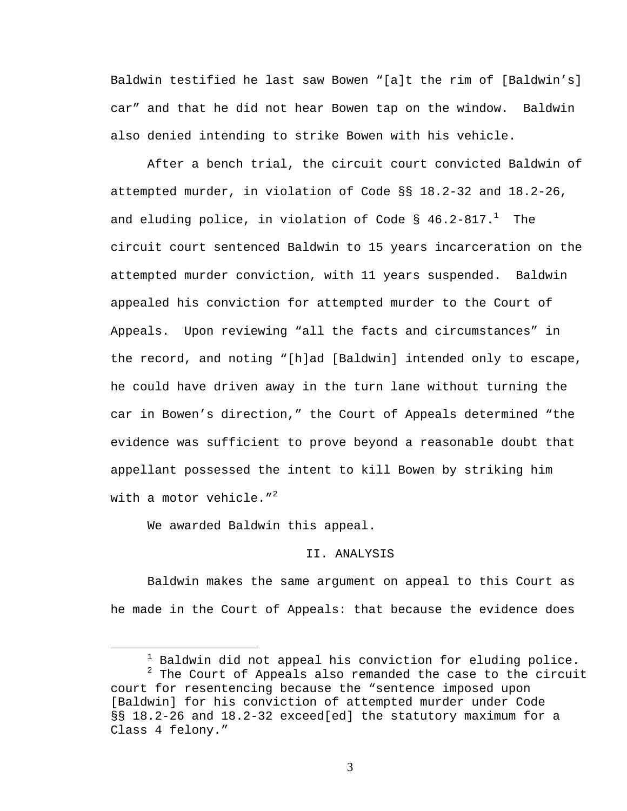Baldwin testified he last saw Bowen "[a]t the rim of [Baldwin's] car" and that he did not hear Bowen tap on the window. Baldwin also denied intending to strike Bowen with his vehicle.

 After a bench trial, the circuit court convicted Baldwin of attempted murder, in violation of Code §§ 18.2-32 and 18.2-26, and eluding police, in violation of Code §  $46.2\text{--}817.^1$  The circuit court sentenced Baldwin to 15 years incarceration on the attempted murder conviction, with 11 years suspended. Baldwin appealed his conviction for attempted murder to the Court of Appeals. Upon reviewing "all the facts and circumstances" in the record, and noting "[h]ad [Baldwin] intended only to escape, he could have driven away in the turn lane without turning the car in Bowen's direction," the Court of Appeals determined "the evidence was sufficient to prove beyond a reasonable doubt that appellant possessed the intent to kill Bowen by striking him with a motor vehicle. $1^2$ 

We awarded Baldwin this appeal.

## II. ANALYSIS

 Baldwin makes the same argument on appeal to this Court as he made in the Court of Appeals: that because the evidence does

<sup>1</sup>  $1$  Baldwin did not appeal his conviction for eluding police.

 $2$  The Court of Appeals also remanded the case to the circuit court for resentencing because the "sentence imposed upon [Baldwin] for his conviction of attempted murder under Code §§ 18.2-26 and 18.2-32 exceed[ed] the statutory maximum for a Class 4 felony."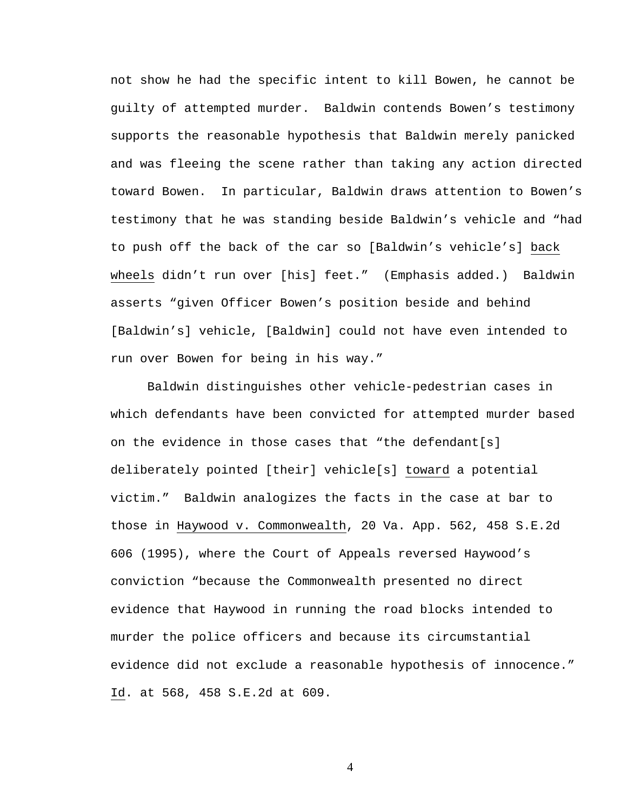not show he had the specific intent to kill Bowen, he cannot be guilty of attempted murder. Baldwin contends Bowen's testimony supports the reasonable hypothesis that Baldwin merely panicked and was fleeing the scene rather than taking any action directed toward Bowen. In particular, Baldwin draws attention to Bowen's testimony that he was standing beside Baldwin's vehicle and "had to push off the back of the car so [Baldwin's vehicle's] back wheels didn't run over [his] feet." (Emphasis added.) Baldwin asserts "given Officer Bowen's position beside and behind [Baldwin's] vehicle, [Baldwin] could not have even intended to run over Bowen for being in his way."

Baldwin distinguishes other vehicle-pedestrian cases in which defendants have been convicted for attempted murder based on the evidence in those cases that "the defendant[s] deliberately pointed [their] vehicle[s] toward a potential victim." Baldwin analogizes the facts in the case at bar to those in Haywood v. Commonwealth, 20 Va. App. 562, 458 S.E.2d 606 (1995), where the Court of Appeals reversed Haywood's conviction "because the Commonwealth presented no direct evidence that Haywood in running the road blocks intended to murder the police officers and because its circumstantial evidence did not exclude a reasonable hypothesis of innocence." Id. at 568, 458 S.E.2d at 609.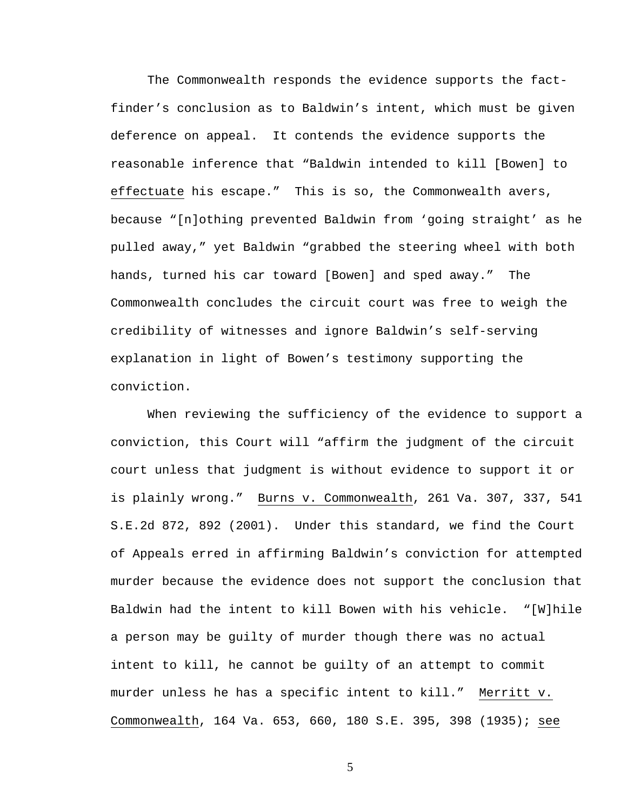The Commonwealth responds the evidence supports the factfinder's conclusion as to Baldwin's intent, which must be given deference on appeal. It contends the evidence supports the reasonable inference that "Baldwin intended to kill [Bowen] to effectuate his escape." This is so, the Commonwealth avers, because "[n]othing prevented Baldwin from 'going straight' as he pulled away," yet Baldwin "grabbed the steering wheel with both hands, turned his car toward [Bowen] and sped away." The Commonwealth concludes the circuit court was free to weigh the credibility of witnesses and ignore Baldwin's self-serving explanation in light of Bowen's testimony supporting the conviction.

When reviewing the sufficiency of the evidence to support a conviction, this Court will "affirm the judgment of the circuit court unless that judgment is without evidence to support it or is plainly wrong." Burns v. Commonwealth, 261 Va. 307, 337, 541 S.E.2d 872, 892 (2001). Under this standard, we find the Court of Appeals erred in affirming Baldwin's conviction for attempted murder because the evidence does not support the conclusion that Baldwin had the intent to kill Bowen with his vehicle. "[W]hile a person may be guilty of murder though there was no actual intent to kill, he cannot be guilty of an attempt to commit murder unless he has a specific intent to kill." Merritt v. Commonwealth, 164 Va. 653, 660, 180 S.E. 395, 398 (1935); see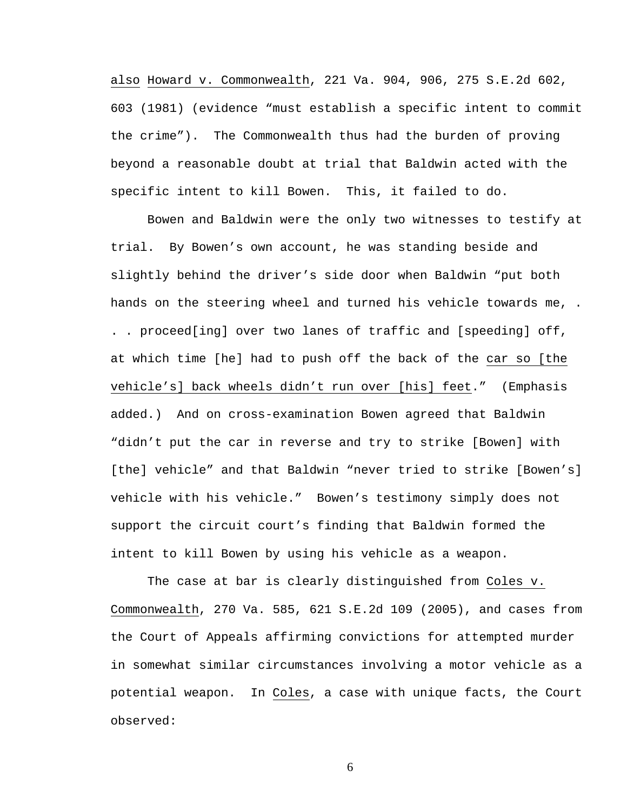also Howard v. Commonwealth, 221 Va. 904, 906, 275 S.E.2d 602, 603 (1981) (evidence "must establish a specific intent to commit the crime"). The Commonwealth thus had the burden of proving beyond a reasonable doubt at trial that Baldwin acted with the specific intent to kill Bowen. This, it failed to do.

Bowen and Baldwin were the only two witnesses to testify at trial. By Bowen's own account, he was standing beside and slightly behind the driver's side door when Baldwin "put both hands on the steering wheel and turned his vehicle towards me, . . . proceed[ing] over two lanes of traffic and [speeding] off, at which time [he] had to push off the back of the car so [the vehicle's] back wheels didn't run over [his] feet." (Emphasis added.) And on cross-examination Bowen agreed that Baldwin "didn't put the car in reverse and try to strike [Bowen] with [the] vehicle" and that Baldwin "never tried to strike [Bowen's] vehicle with his vehicle." Bowen's testimony simply does not support the circuit court's finding that Baldwin formed the intent to kill Bowen by using his vehicle as a weapon.

The case at bar is clearly distinguished from Coles v. Commonwealth, 270 Va. 585, 621 S.E.2d 109 (2005), and cases from the Court of Appeals affirming convictions for attempted murder in somewhat similar circumstances involving a motor vehicle as a potential weapon. In Coles, a case with unique facts, the Court observed: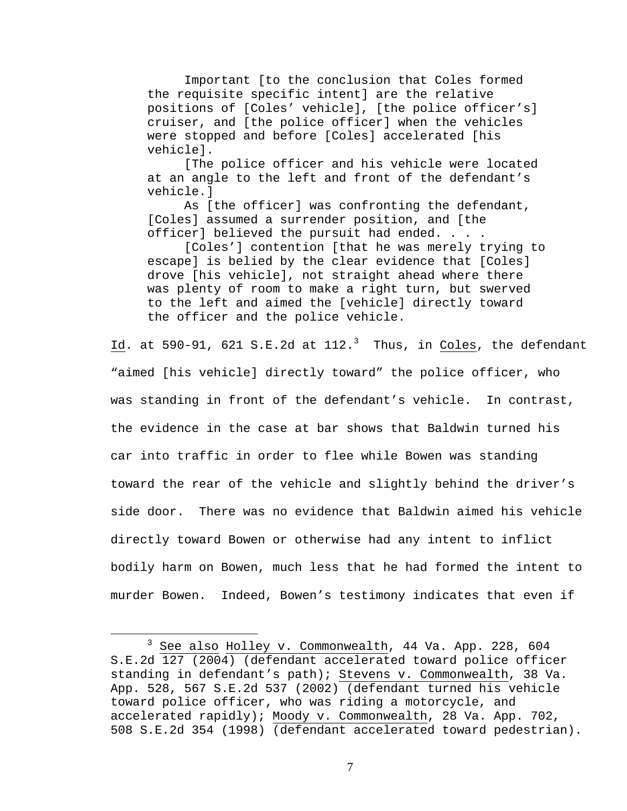Important [to the conclusion that Coles formed the requisite specific intent] are the relative positions of [Coles' vehicle], [the police officer's] cruiser, and [the police officer] when the vehicles were stopped and before [Coles] accelerated [his vehicle].

[The police officer and his vehicle were located at an angle to the left and front of the defendant's vehicle.]

As [the officer] was confronting the defendant, [Coles] assumed a surrender position, and [the officer] believed the pursuit had ended. . . .

[Coles'] contention [that he was merely trying to escape] is belied by the clear evidence that [Coles] drove [his vehicle], not straight ahead where there was plenty of room to make a right turn, but swerved to the left and aimed the [vehicle] directly toward the officer and the police vehicle.

 $\underline{\texttt{Id}}$ . at 590-91, 621 S.E.2d at 112. $^3$  Thus, in Coles, the defendant "aimed [his vehicle] directly toward" the police officer, who was standing in front of the defendant's vehicle. In contrast, the evidence in the case at bar shows that Baldwin turned his car into traffic in order to flee while Bowen was standing toward the rear of the vehicle and slightly behind the driver's side door. There was no evidence that Baldwin aimed his vehicle directly toward Bowen or otherwise had any intent to inflict bodily harm on Bowen, much less that he had formed the intent to murder Bowen. Indeed, Bowen's testimony indicates that even if

 $\frac{1}{3}$  See also Holley v. Commonwealth, 44 Va. App. 228, 604 S.E.2d 127 (2004) (defendant accelerated toward police officer standing in defendant's path); Stevens v. Commonwealth, 38 Va. App. 528, 567 S.E.2d 537 (2002) (defendant turned his vehicle toward police officer, who was riding a motorcycle, and accelerated rapidly); Moody v. Commonwealth, 28 Va. App. 702, 508 S.E.2d 354 (1998) (defendant accelerated toward pedestrian).